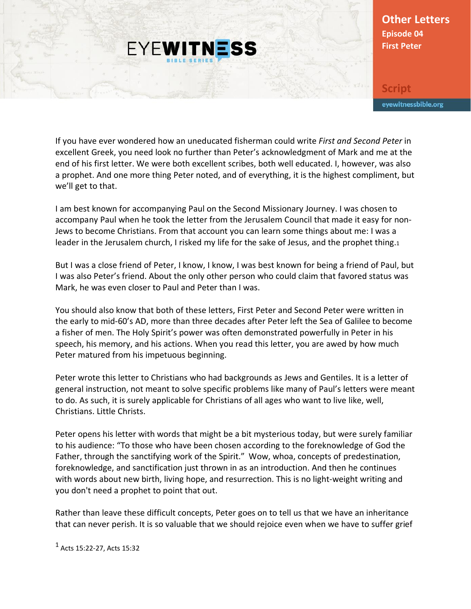**Other Letters Episode 04 First Peter**

**Script**eyewitnessbible.org

If you have ever wondered how an uneducated fisherman could write *First and Second Peter* in excellent Greek, you need look no further than Peter's acknowledgment of Mark and me at the end of his first letter. We were both excellent scribes, both well educated. I, however, was also a prophet. And one more thing Peter noted, and of everything, it is the highest compliment, but we'll get to that.

**EYEWITNESS** 

I am best known for accompanying Paul on the Second Missionary Journey. I was chosen to accompany Paul when he took the letter from the Jerusalem Council that made it easy for non-Jews to become Christians. From that account you can learn some things about me: I was a leader in the Jerusalem church, I risked my life for the sake of Jesus, and the prophet thing.1

But I was a close friend of Peter, I know, I know, I was best known for being a friend of Paul, but I was also Peter's friend. About the only other person who could claim that favored status was Mark, he was even closer to Paul and Peter than I was.

You should also know that both of these letters, First Peter and Second Peter were written in the early to mid-60's AD, more than three decades after Peter left the Sea of Galilee to become a fisher of men. The Holy Spirit's power was often demonstrated powerfully in Peter in his speech, his memory, and his actions. When you read this letter, you are awed by how much Peter matured from his impetuous beginning.

Peter wrote this letter to Christians who had backgrounds as Jews and Gentiles. It is a letter of general instruction, not meant to solve specific problems like many of Paul's letters were meant to do. As such, it is surely applicable for Christians of all ages who want to live like, well, Christians. Little Christs.

Peter opens his letter with words that might be a bit mysterious today, but were surely familiar to his audience: "To those who have been chosen according to the foreknowledge of God the Father, through the sanctifying work of the Spirit." Wow, whoa, concepts of predestination, foreknowledge, and sanctification just thrown in as an introduction. And then he continues with words about new birth, living hope, and resurrection. This is no light-weight writing and you don't need a prophet to point that out.

Rather than leave these difficult concepts, Peter goes on to tell us that we have an inheritance that can never perish. It is so valuable that we should rejoice even when we have to suffer grief

1 Acts 15:22-27, Acts 15:32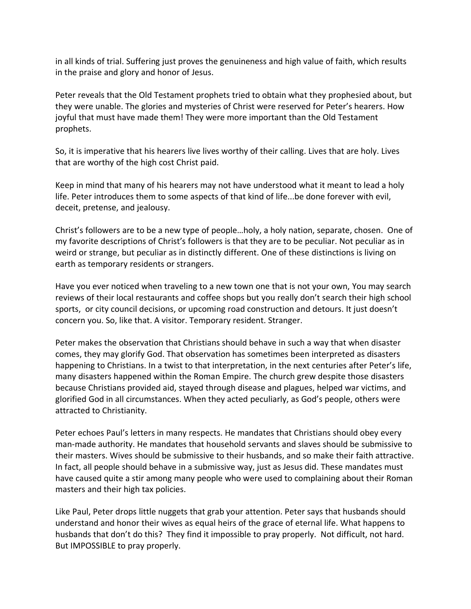in all kinds of trial. Suffering just proves the genuineness and high value of faith, which results in the praise and glory and honor of Jesus.

Peter reveals that the Old Testament prophets tried to obtain what they prophesied about, but they were unable. The glories and mysteries of Christ were reserved for Peter's hearers. How joyful that must have made them! They were more important than the Old Testament prophets.

So, it is imperative that his hearers live lives worthy of their calling. Lives that are holy. Lives that are worthy of the high cost Christ paid.

Keep in mind that many of his hearers may not have understood what it meant to lead a holy life. Peter introduces them to some aspects of that kind of life...be done forever with evil, deceit, pretense, and jealousy.

Christ's followers are to be a new type of people…holy, a holy nation, separate, chosen. One of my favorite descriptions of Christ's followers is that they are to be peculiar. Not peculiar as in weird or strange, but peculiar as in distinctly different. One of these distinctions is living on earth as temporary residents or strangers.

Have you ever noticed when traveling to a new town one that is not your own, You may search reviews of their local restaurants and coffee shops but you really don't search their high school sports, or city council decisions, or upcoming road construction and detours. It just doesn't concern you. So, like that. A visitor. Temporary resident. Stranger.

Peter makes the observation that Christians should behave in such a way that when disaster comes, they may glorify God. That observation has sometimes been interpreted as disasters happening to Christians. In a twist to that interpretation, in the next centuries after Peter's life, many disasters happened within the Roman Empire. The church grew despite those disasters because Christians provided aid, stayed through disease and plagues, helped war victims, and glorified God in all circumstances. When they acted peculiarly, as God's people, others were attracted to Christianity.

Peter echoes Paul's letters in many respects. He mandates that Christians should obey every man-made authority. He mandates that household servants and slaves should be submissive to their masters. Wives should be submissive to their husbands, and so make their faith attractive. In fact, all people should behave in a submissive way, just as Jesus did. These mandates must have caused quite a stir among many people who were used to complaining about their Roman masters and their high tax policies.

Like Paul, Peter drops little nuggets that grab your attention. Peter says that husbands should understand and honor their wives as equal heirs of the grace of eternal life. What happens to husbands that don't do this? They find it impossible to pray properly. Not difficult, not hard. But IMPOSSIBLE to pray properly.